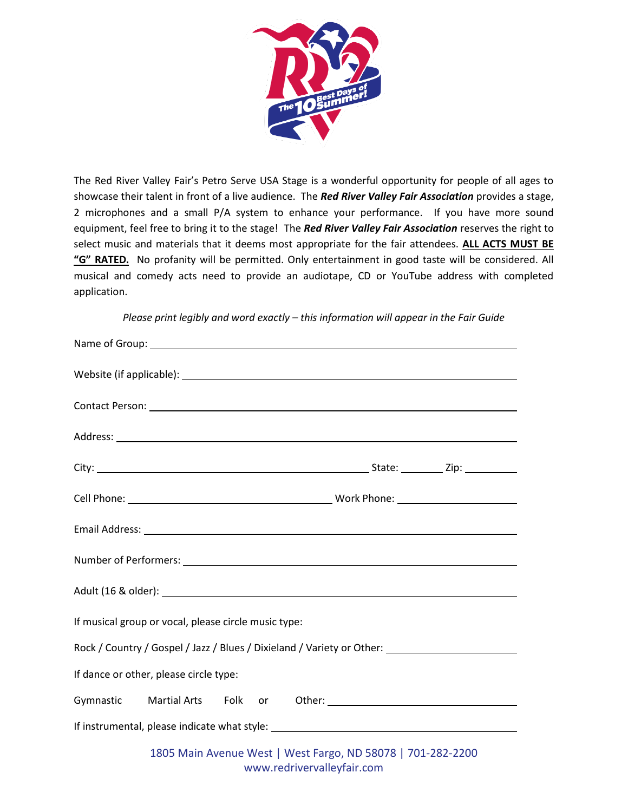

The Red River Valley Fair's Petro Serve USA Stage is a wonderful opportunity for people of all ages to showcase their talent in front of a live audience. The *Red River Valley Fair Association* provides a stage, 2 microphones and a small P/A system to enhance your performance. If you have more sound equipment, feel free to bring it to the stage! The *Red River Valley Fair Association* reserves the right to select music and materials that it deems most appropriate for the fair attendees. **ALL ACTS MUST BE "G" RATED.** No profanity will be permitted. Only entertainment in good taste will be considered. All musical and comedy acts need to provide an audiotape, CD or YouTube address with completed application.

*Please print legibly and word exactly – this information will appear in the Fair Guide*

| If musical group or vocal, please circle music type: |  |                            |                                                             |                                                                                                     |
|------------------------------------------------------|--|----------------------------|-------------------------------------------------------------|-----------------------------------------------------------------------------------------------------|
|                                                      |  |                            |                                                             | Rock / Country / Gospel / Jazz / Blues / Dixieland / Variety or Other: ____________________________ |
| If dance or other, please circle type:               |  |                            |                                                             |                                                                                                     |
|                                                      |  |                            |                                                             |                                                                                                     |
|                                                      |  |                            |                                                             |                                                                                                     |
|                                                      |  | www.redrivervalleyfair.com | 1805 Main Avenue West   West Fargo, ND 58078   701-282-2200 |                                                                                                     |